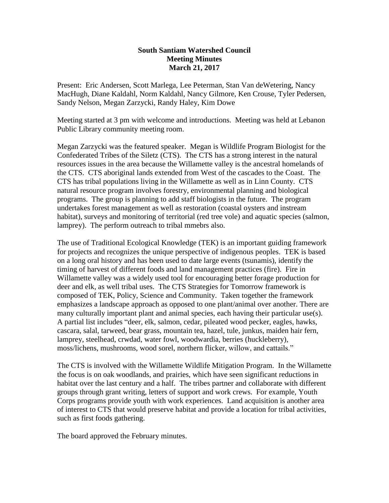## **South Santiam Watershed Council Meeting Minutes March 21, 2017**

Present: Eric Andersen, Scott Marlega, Lee Peterman, Stan Van deWetering, Nancy MacHugh, Diane Kaldahl, Norm Kaldahl, Nancy Gilmore, Ken Crouse, Tyler Pedersen, Sandy Nelson, Megan Zarzycki, Randy Haley, Kim Dowe

Meeting started at 3 pm with welcome and introductions. Meeting was held at Lebanon Public Library community meeting room.

Megan Zarzycki was the featured speaker. Megan is Wildlife Program Biologist for the Confederated Tribes of the Siletz (CTS). The CTS has a strong interest in the natural resources issues in the area because the Willamette valley is the ancestral homelands of the CTS. CTS aboriginal lands extended from West of the cascades to the Coast. The CTS has tribal populations living in the Willamette as well as in Linn County. CTS natural resource program involves forestry, environmental planning and biological programs. The group is planning to add staff biologists in the future. The program undertakes forest management as well as restoration (coastal oysters and instream habitat), surveys and monitoring of territorial (red tree vole) and aquatic species (salmon, lamprey). The perform outreach to tribal mmebrs also.

The use of Traditional Ecological Knowledge (TEK) is an important guiding framework for projects and recognizes the unique perspective of indigenous peoples. TEK is based on a long oral history and has been used to date large events (tsunamis), identify the timing of harvest of different foods and land management practices (fire). Fire in Willamette valley was a widely used tool for encouraging better forage production for deer and elk, as well tribal uses. The CTS Strategies for Tomorrow framework is composed of TEK, Policy, Science and Community. Taken together the framework emphasizes a landscape approach as opposed to one plant/animal over another. There are many culturally important plant and animal species, each having their particular use(s). A partial list includes "deer, elk, salmon, cedar, pileated wood pecker, eagles, hawks, cascara, salal, tarweed, bear grass, mountain tea, hazel, tule, junkus, maiden hair fern, lamprey, steelhead, crwdad, water fowl, woodwardia, berries (huckleberry), moss/lichens, mushrooms, wood sorel, northern flicker, willow, and cattails."

The CTS is involved with the Willamette Wildlife Mitigation Program. In the Willamette the focus is on oak woodlands, and prairies, which have seen significant reductions in habitat over the last century and a half. The tribes partner and collaborate with different groups through grant writing, letters of support and work crews. For example, Youth Corps programs provide youth with work experiences. Land acquisition is another area of interest to CTS that would preserve habitat and provide a location for tribal activities, such as first foods gathering.

The board approved the February minutes.